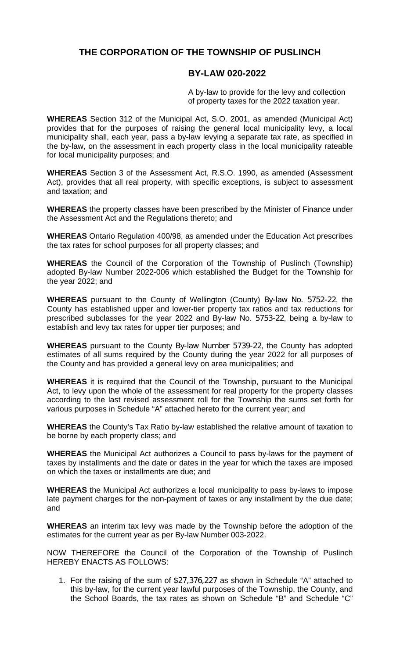# **THE CORPORATION OF THE TOWNSHIP OF PUSLINCH**

#### **BY-LAW 020-2022**

A by-law to provide for the levy and collection of property taxes for the 2022 taxation year.

**WHEREAS** Section 312 of the Municipal Act, S.O. 2001, as amended (Municipal Act) provides that for the purposes of raising the general local municipality levy, a local municipality shall, each year, pass a by-law levying a separate tax rate, as specified in the by-law, on the assessment in each property class in the local municipality rateable for local municipality purposes; and

**WHEREAS** Section 3 of the Assessment Act, R.S.O. 1990, as amended (Assessment Act), provides that all real property, with specific exceptions, is subject to assessment and taxation; and

**WHEREAS** the property classes have been prescribed by the Minister of Finance under the Assessment Act and the Regulations thereto; and

**WHEREAS** Ontario Regulation 400/98, as amended under the Education Act prescribes the tax rates for school purposes for all property classes; and

**WHEREAS** the Council of the Corporation of the Township of Puslinch (Township) adopted By-law Number 2022-006 which established the Budget for the Township for the year 2022; and

**WHEREAS** pursuant to the County of Wellington (County) By-law No. 5752-22, the County has established upper and lower-tier property tax ratios and tax reductions for prescribed subclasses for the year 2022 and By-law No. 5753-22, being a by-law to establish and levy tax rates for upper tier purposes; and

**WHEREAS** pursuant to the County By-law Number 5739-22, the County has adopted estimates of all sums required by the County during the year 2022 for all purposes of the County and has provided a general levy on area municipalities; and

**WHEREAS** it is required that the Council of the Township, pursuant to the Municipal Act, to levy upon the whole of the assessment for real property for the property classes according to the last revised assessment roll for the Township the sums set forth for various purposes in Schedule "A" attached hereto for the current year; and

**WHEREAS** the County's Tax Ratio by-law established the relative amount of taxation to be borne by each property class; and

**WHEREAS** the Municipal Act authorizes a Council to pass by-laws for the payment of taxes by installments and the date or dates in the year for which the taxes are imposed on which the taxes or installments are due; and

**WHEREAS** the Municipal Act authorizes a local municipality to pass by-laws to impose late payment charges for the non-payment of taxes or any installment by the due date; and

**WHEREAS** an interim tax levy was made by the Township before the adoption of the estimates for the current year as per By-law Number 003-2022.

NOW THEREFORE the Council of the Corporation of the Township of Puslinch HEREBY ENACTS AS FOLLOWS:

1. For the raising of the sum of \$27,376,227 as shown in Schedule "A" attached to this by-law, for the current year lawful purposes of the Township, the County, and the School Boards, the tax rates as shown on Schedule "B" and Schedule "C"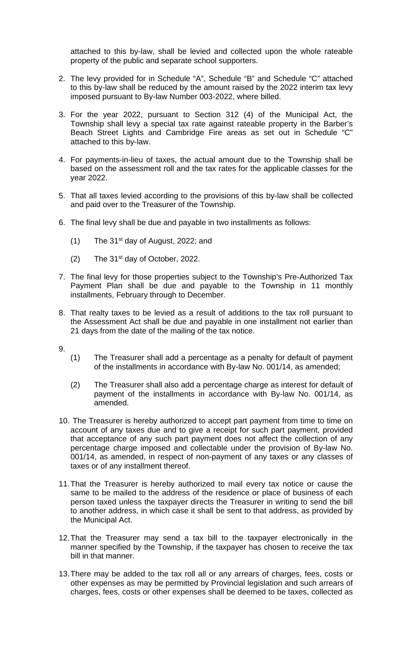attached to this by-law, shall be levied and collected upon the whole rateable property of the public and separate school supporters.

- 2. The levy provided for in Schedule "A", Schedule "B" and Schedule "C" attached to this by-law shall be reduced by the amount raised by the 2022 interim tax levy imposed pursuant to By-law Number 003-2022, where billed.
- 3. For the year 2022, pursuant to Section 312 (4) of the Municipal Act, the Township shall levy a special tax rate against rateable property in the Barber's Beach Street Lights and Cambridge Fire areas as set out in Schedule "C" attached to this by-law.
- 4. For payments-in-lieu of taxes, the actual amount due to the Township shall be based on the assessment roll and the tax rates for the applicable classes for the year 2022.
- 5. That all taxes levied according to the provisions of this by-law shall be collected and paid over to the Treasurer of the Township.
- 6. The final levy shall be due and payable in two installments as follows:
	- $(1)$  The 31<sup>st</sup> day of August, 2022; and
	- $(2)$  The 31<sup>st</sup> day of October, 2022.
- 7. The final levy for those properties subject to the Township's Pre-Authorized Tax Payment Plan shall be due and payable to the Township in 11 monthly installments, February through to December.
- 8. That realty taxes to be levied as a result of additions to the tax roll pursuant to the Assessment Act shall be due and payable in one installment not earlier than 21 days from the date of the mailing of the tax notice.
- 9.
- (1) The Treasurer shall add a percentage as a penalty for default of payment of the installments in accordance with By-law No. 001/14, as amended;
- (2) The Treasurer shall also add a percentage charge as interest for default of payment of the installments in accordance with By-law No. 001/14, as amended.
- 10. The Treasurer is hereby authorized to accept part payment from time to time on account of any taxes due and to give a receipt for such part payment, provided that acceptance of any such part payment does not affect the collection of any percentage charge imposed and collectable under the provision of By-law No. 001/14, as amended, in respect of non-payment of any taxes or any classes of taxes or of any installment thereof.
- 11.That the Treasurer is hereby authorized to mail every tax notice or cause the same to be mailed to the address of the residence or place of business of each person taxed unless the taxpayer directs the Treasurer in writing to send the bill to another address, in which case it shall be sent to that address, as provided by the Municipal Act.
- 12.That the Treasurer may send a tax bill to the taxpayer electronically in the manner specified by the Township, if the taxpayer has chosen to receive the tax bill in that manner.
- 13.There may be added to the tax roll all or any arrears of charges, fees, costs or other expenses as may be permitted by Provincial legislation and such arrears of charges, fees, costs or other expenses shall be deemed to be taxes, collected as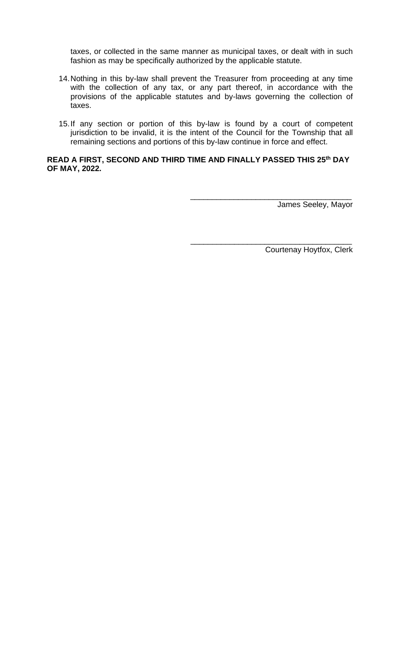taxes, or collected in the same manner as municipal taxes, or dealt with in such fashion as may be specifically authorized by the applicable statute.

- 14.Nothing in this by-law shall prevent the Treasurer from proceeding at any time with the collection of any tax, or any part thereof, in accordance with the provisions of the applicable statutes and by-laws governing the collection of taxes.
- 15.If any section or portion of this by-law is found by a court of competent jurisdiction to be invalid, it is the intent of the Council for the Township that all remaining sections and portions of this by-law continue in force and effect.

#### **READ A FIRST, SECOND AND THIRD TIME AND FINALLY PASSED THIS 25th DAY OF MAY, 2022.**

James Seeley, Mayor

\_\_\_\_\_\_\_\_\_\_\_\_\_\_\_\_\_\_\_\_\_\_\_\_\_\_\_\_\_\_\_\_\_\_\_\_\_

\_\_\_\_\_\_\_\_\_\_\_\_\_\_\_\_\_\_\_\_\_\_\_\_\_\_\_\_\_\_\_\_\_\_\_\_\_

Courtenay Hoytfox, Clerk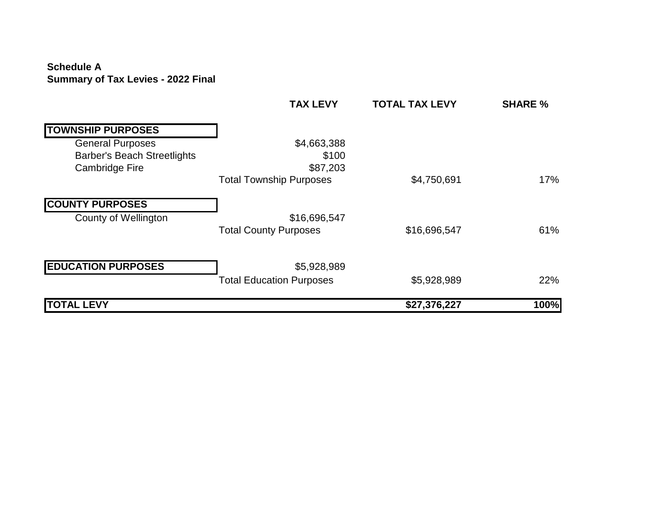#### **Schedule A Summary of Tax Levies - 2022 Final**

|                                    | <b>TAX LEVY</b>                 | <b>TOTAL TAX LEVY</b> | <b>SHARE %</b> |
|------------------------------------|---------------------------------|-----------------------|----------------|
| <b>TOWNSHIP PURPOSES</b>           |                                 |                       |                |
| <b>General Purposes</b>            | \$4,663,388                     |                       |                |
| <b>Barber's Beach Streetlights</b> | \$100                           |                       |                |
| <b>Cambridge Fire</b>              | \$87,203                        |                       |                |
|                                    | <b>Total Township Purposes</b>  | \$4,750,691           | 17%            |
| <b>COUNTY PURPOSES</b>             |                                 |                       |                |
| <b>County of Wellington</b>        | \$16,696,547                    |                       |                |
|                                    | <b>Total County Purposes</b>    | \$16,696,547          | 61%            |
| <b>EDUCATION PURPOSES</b>          | \$5,928,989                     |                       |                |
|                                    | <b>Total Education Purposes</b> | \$5,928,989           | 22%            |
| <b>LEVY</b><br><b>TOTAL</b>        |                                 | \$27,376,227          | 100%           |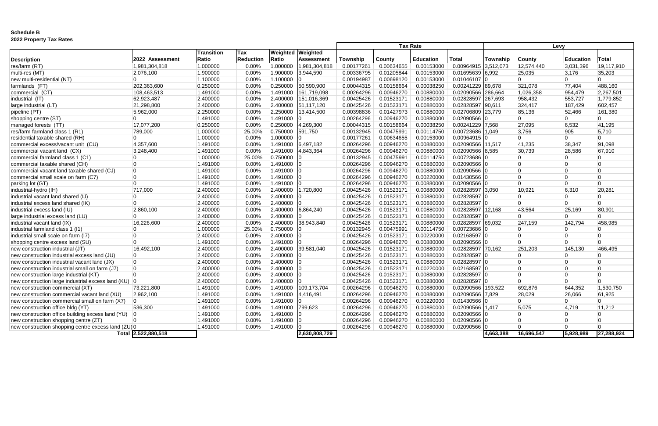### **Schedule B 2022 Property Tax Rates**

|                                                      |                     |                   |                  |          |                   | <b>Tax Rate</b> |            |                  | Levy                 |           |                |           |                |
|------------------------------------------------------|---------------------|-------------------|------------------|----------|-------------------|-----------------|------------|------------------|----------------------|-----------|----------------|-----------|----------------|
|                                                      |                     | <b>Transition</b> | Tax              | Weighted | Weighted          |                 |            |                  |                      |           |                |           |                |
| <b>Description</b>                                   | 2022 Assessment     | Ratio             | <b>Reduction</b> | Ratio    | <b>Assessment</b> | Township        | County     | <b>Education</b> | <b>Total</b>         | Township  | <b>County</b>  | Education | <b>Total</b>   |
| res/farm (RT)                                        | 1,981,304,818       | 1.000000          | 0.00%            | 1.000000 | ,981,304,818      | 0.00177261      | 0.00634655 | 0.00153000       | 0.00964915 3.512,073 |           | 12,574,440     | 3,031,396 | 19,117,910     |
| multi-res (MT)                                       | 2,076,100           | 1.900000          | 0.00%            | 1.900000 | 3,944,590         | 0.00336795      | 0.01205844 | 0.00153000       | 0.01695639 6.992     |           | 25,035         | 3,176     | 35,203         |
| new multi-residential (NT)                           |                     | 1.100000          | 0.00%            | 1.100000 |                   | 0.00194987      | 0.00698120 | 0.00153000       | $0.01046107$ 0       |           |                |           |                |
| farmlands (FT)                                       | 202,363,600         | 0.250000          | 0.00%            | 0.250000 | 50,590,900        | 0.00044315      | 0.00158664 | 0.00038250       | 0.00241229 89,678    |           | 321,078        | 77,404    | 488,160        |
| commercial (CT)                                      | 108,463,513         | 1.491000          | 0.00%            | 1.491000 | 161,719,098       | 0.00264296      | 0.00946270 | 0.00880000       | 0.02090566   286,664 |           | 1,026,358      | 954,479   | 2,267,501      |
| industrial (IT)                                      | 62,923,487          | 2.400000          | 0.00%            | 2.400000 | 151,016,369       | 0.00425426      | 0.01523171 | 0.00880000       | 0.02828597           | 267,693   | 958,432        | 553,727   | 1,779,852      |
| large industrial (LT)                                | 21,298,800          | 2.400000          | 0.00%            | 2.400000 | 51,117,120        | 0.00425426      | 0.01523171 | 0.00880000       | 0.02828597 90,611    |           | 324,417        | 187,429   | 602,457        |
| pipeline (PT)                                        | 5,962,000           | 2.250000          | 0.00%            | 2.250000 | 13,414,500        | 0.00398836      | 0.01427973 | 0.00880000       | 0.02706809 23,779    |           | 85,136         | 52,466    | 161,380        |
| shopping centre (ST)                                 | $\overline{0}$      | 1.491000          | 0.00%            | 1.491000 |                   | 0.00264296      | 0.00946270 | 0.00880000       | 0.02090566 C         |           | $\overline{0}$ |           | n              |
| managed forests (TT)                                 | 17,077,200          | 0.250000          | 0.00%            | 0.250000 | 4,269,300         | 0.00044315      | 0.00158664 | 0.00038250       | 0.00241229           | 7.568     | 27,095         | 6,532     | 41,195         |
| res/farm farmland class 1 (R1)                       | 789,000             | 1.000000          | 25.00%           | 0.750000 | 591,750           | 0.00132945      | 0.00475991 | 0.00114750       | 0.00723686 1,049     |           | 3,756          | 905       | 5,710          |
| residential taxable shared (RH)                      | $\overline{0}$      | 1.000000          | 0.00%            | 1.000000 |                   | 0.00177261      | 0.00634655 | 0.00153000       | $0.00964915$ 0       |           | $\overline{0}$ |           |                |
| commercial excess/vacant unit (CU)                   | 4,357,600           | 1.491000          | 0.00%            | 1.491000 | 6,497,182         | 0.00264296      | 0.00946270 | 0.00880000       | 0.02090566 11,517    |           | 41,235         | 38,347    | 91,098         |
| commercial vacant land (CX)                          | 3,248,400           | 1.491000          | 0.00%            | 1.491000 | 4,843,364         | 0.00264296      | 0.00946270 | 0.00880000       | 0.02090566 8,585     |           | 30,739         | 28,586    | 67,910         |
| commercial farmland class 1 (C1)                     |                     | 1.000000          | 25.00%           | 0.750000 |                   | 0.00132945      | 0.00475991 | 0.00114750       | 0.00723686           |           |                |           |                |
| commercial taxable shared (CH)                       |                     | 1.491000          | 0.00%            | 1.491000 |                   | 0.00264296      | 0.00946270 | 0.00880000       | 0.02090566           |           |                |           |                |
| commercial vacant land taxable shared (CJ)           | $\overline{0}$      | 1.491000          | 0.00%            | 1.491000 |                   | 0.00264296      | 0.00946270 | 0.00880000       | 0.02090566           |           |                |           |                |
| commercial small scale on farm (C7)                  | $\overline{0}$      | 1.491000          | 0.00%            | 1.491000 |                   | 0.00264296      | 0.00946270 | 0.00220000       | 0.01430566           |           | $\Omega$       |           | ിറ             |
| parking lot (GT)                                     | $\overline{0}$      | 1.491000          | 0.00%            | 1.491000 |                   | 0.00264296      | 0.00946270 | 0.00880000       | 0.02090566 0         |           | $\Omega$       |           | $\overline{0}$ |
| industrial-hydro (IH)                                | 717,000             | 2.400000          | 0.00%            | 2.400000 | ,720,800          | 0.00425426      | 0.01523171 | 0.00880000       | 0.02828597 3.050     |           | 10,921         | 6,310     | 20,281         |
| industrial vacant land shared (IJ)                   | 0                   | 2.400000          | 0.00%            | 2.400000 |                   | 0.00425426      | 0.01523171 | 0.00880000       | 0.02828597           |           |                |           |                |
| industrial excess land shared (IK)                   | $\Omega$            | 2.400000          | 0.00%            | 2.400000 |                   | 0.00425426      | 0.01523171 | 0.00880000       | 0.02828597           |           |                |           |                |
| industrial excess land (IU)                          | 2,860,100           | 2.400000          | 0.00%            | 2.400000 | 6,864,240         | 0.00425426      | 0.01523171 | 0.00880000       | 0.02828597           | 12,168    | 43,564         | 25,169    | 80,901         |
| large industrial excess land (LU)                    |                     | 2.400000          | 0.00%            | 2.400000 |                   | 0.00425426      | 0.01523171 | 0.00880000       | $0.02828597$ 0       |           |                |           |                |
| industrial vacant land (IX)                          | 16,226,600          | 2.400000          | 0.00%            | 2.400000 | 38,943,840        | 0.00425426      | 0.01523171 | 0.00880000       | 0.02828597 69,032    |           | 247,159        | 142,794   | 458,985        |
| industrial farmland class 1 (I1)                     |                     | 1.000000          | 25.00%           | 0.750000 |                   | 0.00132945      | 0.00475991 | 0.00114750       | 0.00723686           |           |                |           |                |
| industrial small scale on farm (I7)                  |                     | 2.400000          | 0.00%            | 2.400000 |                   | 0.00425426      | 0.01523171 | 0.00220000       | 0.02168597           |           |                |           |                |
| shopping centre excess land (SU)                     |                     | 1.491000          | 0.00%            | 1.491000 |                   | 0.00264296      | 0.00946270 | 0.00880000       | $0.02090566$ 0       |           | $\cap$         |           |                |
| new construction industrial (JT)                     | 16,492,100          | 2.400000          | 0.00%            | 2.400000 | 39,581,040        | 0.00425426      | 0.01523171 | 0.00880000       | 0.02828597 70,162    |           | 251,203        | 145,130   | 466,495        |
| new construction industrial excess land (JU)         | $\overline{0}$      | 2.400000          | 0.00%            | 2.400000 |                   | 0.00425426      | 0.01523171 | 0.00880000       | $0.02828597$ C       |           |                |           |                |
| new construction industrial vacant land (JX)         | $\overline{0}$      | 2.400000          | 0.00%            | 2.400000 |                   | 0.00425426      | 0.01523171 | 0.00880000       | $0.02828597$ C       |           |                |           |                |
| new construction industrial small on farm (J7)       | $\overline{0}$      | 2.400000          | 0.00%            | 2.400000 |                   | 0.00425426      | 0.01523171 | 0.00220000       | $0.02168597$ 0       |           |                |           |                |
| new construction large industrial (KT)               | $\overline{0}$      | 2.400000          | 0.00%            | 2.400000 |                   | 0.00425426      | 0.01523171 | 0.00880000       | 0.02828597           |           |                |           |                |
| new construction large industrial excess land (KU) 0 |                     | 2.400000          | 0.00%            | 2.400000 |                   | 0.00425426      | 0.01523171 | 0.00880000       | $0.02828597$ C       |           | $\overline{0}$ |           | $\overline{0}$ |
| new construction commercial (XT)                     | 73,221,800          | 1.491000          | 0.00%            | 1.491000 | 109,173,704       | 0.00264296      | 0.00946270 | 0.00880000       | 0.02090566   193,522 |           | 692,876        | 644,352   | 1,530,750      |
| new construction commercial vacant land (XU)         | 2,962,100           | 1.491000          | 0.00%            | 1.491000 | 4,416,491         | 0.00264296      | 0.00946270 | 0.00880000       | 0.02090566 7,829     |           | 28,029         | 26,066    | 61,925         |
| new construction commercial small on farm (X7)       | 10                  | 1.491000          | 0.00%            | 1.491000 |                   | 0.00264296      | 0.00946270 | 0.00220000       | 0.01430566 0         |           |                |           |                |
| new construction office bldg (YT)                    | 536,300             | 1.491000          | 0.00%            | 1.491000 | 799,623           | 0.00264296      | 0.00946270 | 0.00880000       | 0.02090566 1,417     |           | 5,075          | 4,719     | 11,212         |
| new construction office building excess land (YU)    | $ 0\rangle$         | 1.491000          | 0.00%            | 1.491000 |                   | 0.00264296      | 0.00946270 | 0.00880000       | 0.02090566           |           |                |           |                |
| new construction shopping centre (ZT)                |                     | 1.491000          | 0.00%            | 1.491000 |                   | 0.00264296      | 0.00946270 | 0.00880000       | 0.02090566           |           |                |           |                |
| new construction shopping centre excess land (ZU) 0  |                     | 1.491000          | 0.00%            | 1.491000 |                   | 0.00264296      | 0.00946270 | 0.00880000       | $0.02090566$ 0       |           |                |           |                |
|                                                      | Total 2,522,880,518 |                   |                  |          | 2,630,808,729     |                 |            |                  |                      | 4,663,388 | 16,696,547     | 5,928,989 | 27,288,924     |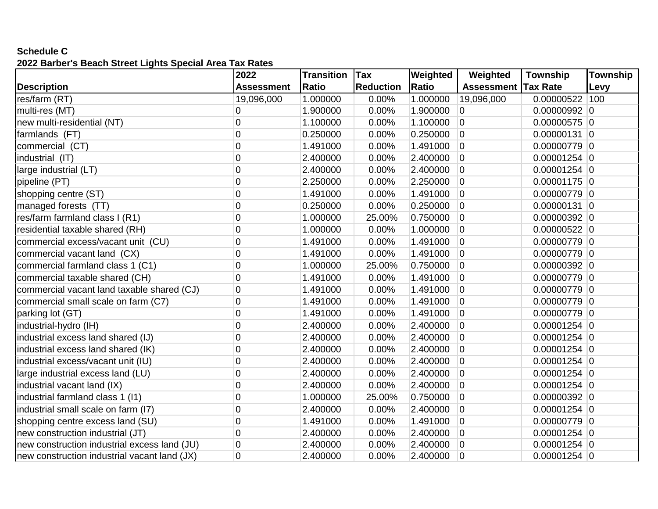# **Schedule C**

# **2022 Barber's Beach Street Lights Special Area Tax Rates**

|                                              | 2022              | <b>Transition</b> | <b>Tax</b>       | Weighted     | Weighted          | Township        | Township |
|----------------------------------------------|-------------------|-------------------|------------------|--------------|-------------------|-----------------|----------|
| <b>Description</b>                           | <b>Assessment</b> | <b>Ratio</b>      | <b>Reduction</b> | <b>Ratio</b> | <b>Assessment</b> | <b>Tax Rate</b> | Levy     |
| res/farm (RT)                                | 19,096,000        | 1.000000          | 0.00%            | 1.000000     | 19,096,000        | 0.00000522      | 100      |
| multi-res (MT)                               | 0                 | 1.900000          | 0.00%            | 1.900000     | $\overline{0}$    | $0.00000992$ 0  |          |
| new multi-residential (NT)                   | $\overline{0}$    | 1.100000          | 0.00%            | 1.100000     | $\overline{0}$    | $0.00000575$ 0  |          |
| farmlands (FT)                               | $\overline{0}$    | 0.250000          | 0.00%            | 0.250000     | $\overline{0}$    | $0.00000131$ 0  |          |
| commercial (CT)                              | $\overline{0}$    | 1.491000          | 0.00%            | 1.491000     | $\overline{0}$    | $0.00000779$ 0  |          |
| industrial (IT)                              | 0                 | 2.400000          | 0.00%            | 2.400000     | $\overline{0}$    | $0.00001254$ 0  |          |
| large industrial (LT)                        | $\overline{0}$    | 2.400000          | 0.00%            | 2.400000     | $\overline{0}$    | $0.00001254$ 0  |          |
| pipeline (PT)                                | $\overline{0}$    | 2.250000          | 0.00%            | 2.250000     | $\overline{0}$    | $0.00001175$ 0  |          |
| shopping centre (ST)                         | $\overline{0}$    | 1.491000          | 0.00%            | 1.491000     | $\overline{0}$    | $0.00000779$ 0  |          |
| managed forests (TT)                         | $\overline{0}$    | 0.250000          | 0.00%            | 0.250000     | $\overline{0}$    | $0.00000131$ 0  |          |
| res/farm farmland class I (R1)               | $\mathbf 0$       | 1.000000          | 25.00%           | 0.750000     | $\overline{0}$    | $0.00000392$ 0  |          |
| residential taxable shared (RH)              | $\overline{0}$    | 1.000000          | 0.00%            | 1.000000     | $\overline{0}$    | $0.00000522$ 0  |          |
| commercial excess/vacant unit (CU)           | 0                 | 1.491000          | 0.00%            | 1.491000     | $\overline{0}$    | $0.00000779$ 0  |          |
| commercial vacant land (CX)                  | $\overline{0}$    | 1.491000          | 0.00%            | 1.491000     | $\overline{0}$    | $0.00000779$ 0  |          |
| commercial farmland class 1 (C1)             | 0                 | 1.000000          | 25.00%           | 0.750000     | $\overline{0}$    | $0.00000392$ 0  |          |
| commercial taxable shared (CH)               | $\overline{0}$    | 1.491000          | 0.00%            | 1.491000     | $\overline{0}$    | $0.00000779$ 0  |          |
| commercial vacant land taxable shared (CJ)   | $\mathbf 0$       | 1.491000          | 0.00%            | 1.491000     | $\overline{0}$    | $0.00000779$ 0  |          |
| commercial small scale on farm (C7)          | $\overline{0}$    | 1.491000          | 0.00%            | 1.491000     | $\overline{0}$    | $0.00000779$ 0  |          |
| parking lot (GT)                             | 0                 | 1.491000          | 0.00%            | 1.491000     | $\overline{0}$    | $0.00000779$ 0  |          |
| industrial-hydro (IH)                        | 0                 | 2.400000          | 0.00%            | 2.400000     | $\overline{0}$    | $0.00001254$ 0  |          |
| industrial excess land shared (IJ)           | $\mathbf 0$       | 2.400000          | 0.00%            | 2.400000     | $\overline{0}$    | $0.00001254$ 0  |          |
| industrial excess land shared (IK)           | $\overline{0}$    | 2.400000          | 0.00%            | 2.400000     | $\overline{0}$    | $0.00001254$ 0  |          |
| industrial excess/vacant unit (IU)           | $\overline{0}$    | 2.400000          | 0.00%            | 2.400000     | $\overline{0}$    | $0.00001254$ 0  |          |
| large industrial excess land (LU)            | $\overline{0}$    | 2.400000          | 0.00%            | 2.400000     | $\overline{0}$    | $0.00001254$ 0  |          |
| industrial vacant land (IX)                  | $\mathbf 0$       | 2.400000          | 0.00%            | 2.400000     | $\overline{0}$    | $0.00001254$ 0  |          |
| industrial farmland class 1 (I1)             | $\boldsymbol{0}$  | 1.000000          | 25.00%           | 0.750000     | $\overline{0}$    | $0.00000392$ 0  |          |
| industrial small scale on farm (I7)          | $\overline{0}$    | 2.400000          | 0.00%            | 2.400000     | $\overline{0}$    | $0.00001254$ 0  |          |
| shopping centre excess land (SU)             | $\overline{0}$    | 1.491000          | 0.00%            | 1.491000     | $\overline{0}$    | $0.00000779$ 0  |          |
| new construction industrial (JT)             | 0                 | 2.400000          | 0.00%            | 2.400000     | $\overline{0}$    | $0.00001254$ 0  |          |
| new construction industrial excess land (JU) | 0                 | 2.400000          | 0.00%            | 2.400000     | $\overline{0}$    | $0.00001254$ 0  |          |
| new construction industrial vacant land (JX) | $\overline{0}$    | 2.400000          | 0.00%            | 2.400000     | $\overline{0}$    | $0.00001254$ 0  |          |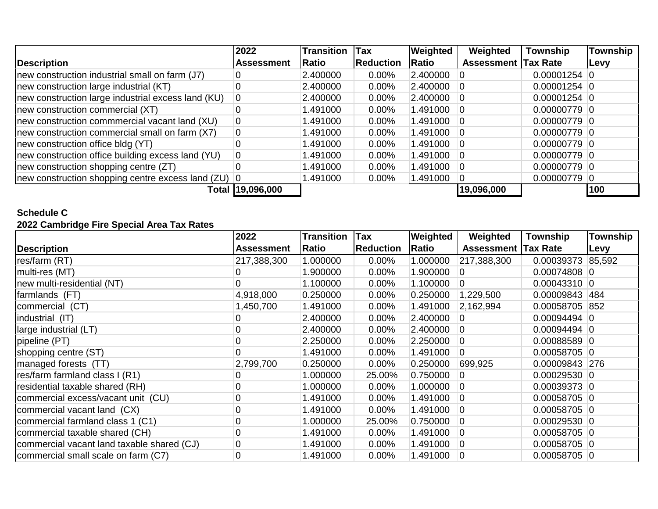|                                                     | 2022              | <b>Transition</b> | <b>Tax</b>       | Weighted | Weighted                   | <b>Township</b> | <b>Township</b> |
|-----------------------------------------------------|-------------------|-------------------|------------------|----------|----------------------------|-----------------|-----------------|
| Description                                         | <b>Assessment</b> | <b>Ratio</b>      | <b>Reduction</b> | Ratio    | <b>Assessment Tax Rate</b> |                 | <b>Levy</b>     |
| new construction industrial small on farm (J7)      |                   | 2.400000          | $0.00\%$         | 2.400000 |                            | $0.00001254$ 0  |                 |
| new construction large industrial (KT)              | 0                 | 2.400000          | $0.00\%$         | 2.400000 |                            | $0.00001254$ 0  |                 |
| new construction large industrial excess land (KU)  | $\overline{0}$    | 2.400000          | $0.00\%$         | 2.400000 |                            | $0.00001254$ 0  |                 |
| new construction commercial (XT)                    | $\overline{0}$    | 1.491000          | $0.00\%$         | 1.491000 |                            | $0.00000779$ 0  |                 |
| new construction commmercial vacant land (XU)       | $\mathbf 0$       | 1.491000          | $0.00\%$         | 1.491000 |                            | $0.00000779$ 0  |                 |
| new construction commercial small on farm (X7)      | 0                 | 1.491000          | $0.00\%$         | 1.491000 | -0                         | $0.00000779$ 0  |                 |
| new construction office bldg (YT)                   | 0                 | 1.491000          | $0.00\%$         | 1.491000 |                            | $0.00000779$ 0  |                 |
| new construction office building excess land (YU)   | 0                 | 1.491000          | $0.00\%$         | 1.491000 | 10                         | $0.00000779$ 0  |                 |
| new construction shopping centre (ZT)               | 0                 | 1.491000          | $0.00\%$         | 1.491000 |                            | $0.00000779$ 0  |                 |
| new construction shopping centre excess land (ZU) 0 |                   | 1.491000          | $0.00\%$         | 1.491000 |                            | $0.00000779$ 0  |                 |
|                                                     |                   |                   |                  |          | 19,096,000                 |                 | 100             |

#### **Schedule C**

#### **2022 Cambridge Fire Special Area Tax Rates**

|                                            | 2022              | <b>Transition</b> | Tax              | Weighted | Weighted          | Township        | Township |
|--------------------------------------------|-------------------|-------------------|------------------|----------|-------------------|-----------------|----------|
| <b>Description</b>                         | <b>Assessment</b> | Ratio             | <b>Reduction</b> | Ratio    | <b>Assessment</b> | <b>Tax Rate</b> | Levy     |
| res/farm (RT)                              | 217,388,300       | 1.000000          | 0.00%            | 1.000000 | 217,388,300       | 0.00039373      | 85,592   |
| multi-res (MT)                             | 0                 | 1.900000          | $0.00\%$         | 1.900000 | 10                | $0.00074808$ 0  |          |
| new multi-residential (NT)                 |                   | 1.100000          | $0.00\%$         | 1.100000 | $\overline{0}$    | $0.00043310$ 0  |          |
| farmlands (FT)                             | 4,918,000         | 0.250000          | $0.00\%$         | 0.250000 | 1,229,500         | 0.00009843      | 484      |
| commercial (CT)                            | 1,450,700         | 1.491000          | $0.00\%$         | 1.491000 | 2,162,994         | 0.00058705 852  |          |
| industrial (IT)                            |                   | 2.400000          | $0.00\%$         | 2.400000 | $\Omega$          | $0.00094494$ 0  |          |
| large industrial (LT)                      | 0                 | 2.400000          | 0.00%            | 2.400000 | $\Omega$          | $0.00094494$ 0  |          |
| pipeline (PT)                              | $\overline{0}$    | 2.250000          | $0.00\%$         | 2.250000 | 10                | $0.00088589$ 0  |          |
| shopping centre (ST)                       | $\overline{0}$    | 1.491000          | $0.00\%$         | 1.491000 | $\overline{0}$    | $0.00058705$ 0  |          |
| managed forests (TT)                       | 2,799,700         | 0.250000          | $0.00\%$         | 0.250000 | 699,925           | 0.00009843 276  |          |
| res/farm farmland class I (R1)             |                   | 1.000000          | 25.00%           | 0.750000 | $\Omega$          | $0.00029530$ 0  |          |
| residential taxable shared (RH)            | $\mathbf 0$       | 1.000000          | $0.00\%$         | 1.000000 | <b>0</b>          | $0.00039373$ 0  |          |
| commercial excess/vacant unit (CU)         | 0                 | 1.491000          | $0.00\%$         | 1.491000 | $\Omega$          | $0.00058705$ 0  |          |
| commercial vacant land (CX)                | $\mathbf 0$       | 1.491000          | $0.00\%$         | 1.491000 | 10                | $0.00058705$ 0  |          |
| commercial farmland class 1 (C1)           | $\mathbf 0$       | 1.000000          | 25.00%           | 0.750000 | 10                | $0.00029530$ 0  |          |
| commercial taxable shared (CH)             | 0                 | 1.491000          | $0.00\%$         | 1.491000 | <b>0</b>          | $0.00058705$ 0  |          |
| commercial vacant land taxable shared (CJ) | 0                 | 1.491000          | $0.00\%$         | 1.491000 | $\overline{0}$    | $0.00058705$ 0  |          |
| commercial small scale on farm (C7)        | $\overline{0}$    | 1.491000          | $0.00\%$         | 1.491000 | 10                | $0.00058705$ 0  |          |